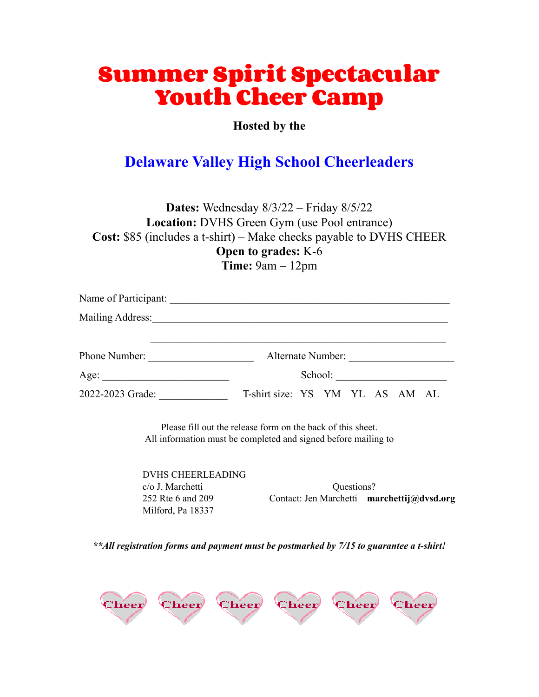# **Summer Spirit Spectacular Youth Cheer Camp**

**Hosted by the**

# **Delaware Valley High School Cheerleaders**

**Dates:** Wednesday 8/3/22 – Friday 8/5/22 **Location:** DVHS Green Gym (use Pool entrance) **Cost:** \$85 (includes a t-shirt) – Make checks payable to DVHS CHEER **Open to grades:** K-6 **Time:** 9am – 12pm

|                  | Alternate Number:               |
|------------------|---------------------------------|
| Age:             | School:                         |
| 2022-2023 Grade: | T-shirt size: YS YM YL AS AM AL |

Please fill out the release form on the back of this sheet. All information must be completed and signed before mailing to

DVHS CHEERLEADING Milford, Pa 18337

c/o J. Marchetti Questions? 252 Rte 6 and 209 Contact: Jen Marchetti **marchettij@dvsd.org**

*\*\*All registration forms and payment must be postmarked by 7/15 to guarantee a t-shirt!*